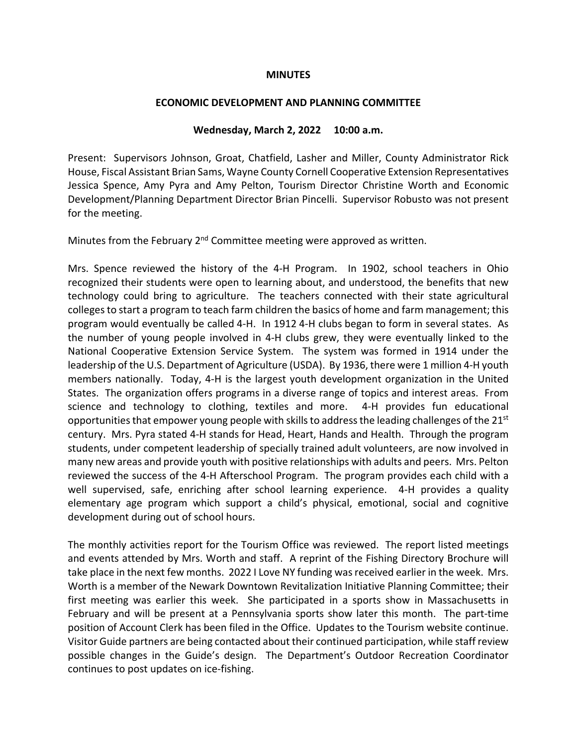### **MINUTES**

#### **ECONOMIC DEVELOPMENT AND PLANNING COMMITTEE**

### **Wednesday, March 2, 2022 10:00 a.m.**

Present: Supervisors Johnson, Groat, Chatfield, Lasher and Miller, County Administrator Rick House, Fiscal Assistant Brian Sams, Wayne County Cornell Cooperative Extension Representatives Jessica Spence, Amy Pyra and Amy Pelton, Tourism Director Christine Worth and Economic Development/Planning Department Director Brian Pincelli. Supervisor Robusto was not present for the meeting.

Minutes from the February  $2<sup>nd</sup>$  Committee meeting were approved as written.

Mrs. Spence reviewed the history of the 4-H Program. In 1902, school teachers in Ohio recognized their students were open to learning about, and understood, the benefits that new technology could bring to agriculture. The teachers connected with their state agricultural colleges to start a program to teach farm children the basics of home and farm management; this program would eventually be called 4-H. In 1912 4-H clubs began to form in several states. As the number of young people involved in 4-H clubs grew, they were eventually linked to the National Cooperative Extension Service System. The system was formed in 1914 under the leadership of the U.S. Department of Agriculture (USDA). By 1936, there were 1 million 4-H youth members nationally. Today, 4-H is the largest youth development organization in the United States. The organization offers programs in a diverse range of topics and interest areas. From science and technology to clothing, textiles and more. 4-H provides fun educational opportunities that empower young people with skills to address the leading challenges of the  $21<sup>st</sup>$ century. Mrs. Pyra stated 4-H stands for Head, Heart, Hands and Health. Through the program students, under competent leadership of specially trained adult volunteers, are now involved in many new areas and provide youth with positive relationships with adults and peers. Mrs. Pelton reviewed the success of the 4-H Afterschool Program. The program provides each child with a well supervised, safe, enriching after school learning experience. 4-H provides a quality elementary age program which support a child's physical, emotional, social and cognitive development during out of school hours.

The monthly activities report for the Tourism Office was reviewed. The report listed meetings and events attended by Mrs. Worth and staff. A reprint of the Fishing Directory Brochure will take place in the next few months. 2022 I Love NY funding was received earlier in the week. Mrs. Worth is a member of the Newark Downtown Revitalization Initiative Planning Committee; their first meeting was earlier this week. She participated in a sports show in Massachusetts in February and will be present at a Pennsylvania sports show later this month. The part-time position of Account Clerk has been filed in the Office. Updates to the Tourism website continue. Visitor Guide partners are being contacted about their continued participation, while staff review possible changes in the Guide's design. The Department's Outdoor Recreation Coordinator continues to post updates on ice-fishing.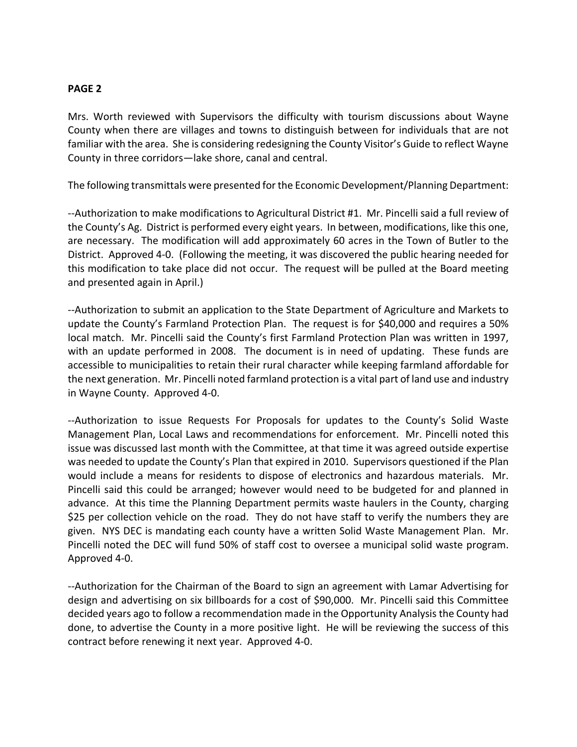## **PAGE 2**

Mrs. Worth reviewed with Supervisors the difficulty with tourism discussions about Wayne County when there are villages and towns to distinguish between for individuals that are not familiar with the area. She is considering redesigning the County Visitor's Guide to reflect Wayne County in three corridors—lake shore, canal and central.

The following transmittals were presented for the Economic Development/Planning Department:

--Authorization to make modifications to Agricultural District #1. Mr. Pincelli said a full review of the County's Ag. District is performed every eight years. In between, modifications, like this one, are necessary. The modification will add approximately 60 acres in the Town of Butler to the District. Approved 4-0. (Following the meeting, it was discovered the public hearing needed for this modification to take place did not occur. The request will be pulled at the Board meeting and presented again in April.)

--Authorization to submit an application to the State Department of Agriculture and Markets to update the County's Farmland Protection Plan. The request is for \$40,000 and requires a 50% local match. Mr. Pincelli said the County's first Farmland Protection Plan was written in 1997, with an update performed in 2008. The document is in need of updating. These funds are accessible to municipalities to retain their rural character while keeping farmland affordable for the next generation. Mr. Pincelli noted farmland protection is a vital part of land use and industry in Wayne County. Approved 4-0.

--Authorization to issue Requests For Proposals for updates to the County's Solid Waste Management Plan, Local Laws and recommendations for enforcement. Mr. Pincelli noted this issue was discussed last month with the Committee, at that time it was agreed outside expertise was needed to update the County's Plan that expired in 2010. Supervisors questioned if the Plan would include a means for residents to dispose of electronics and hazardous materials. Mr. Pincelli said this could be arranged; however would need to be budgeted for and planned in advance. At this time the Planning Department permits waste haulers in the County, charging \$25 per collection vehicle on the road. They do not have staff to verify the numbers they are given. NYS DEC is mandating each county have a written Solid Waste Management Plan. Mr. Pincelli noted the DEC will fund 50% of staff cost to oversee a municipal solid waste program. Approved 4-0.

--Authorization for the Chairman of the Board to sign an agreement with Lamar Advertising for design and advertising on six billboards for a cost of \$90,000. Mr. Pincelli said this Committee decided years ago to follow a recommendation made in the Opportunity Analysis the County had done, to advertise the County in a more positive light. He will be reviewing the success of this contract before renewing it next year. Approved 4-0.